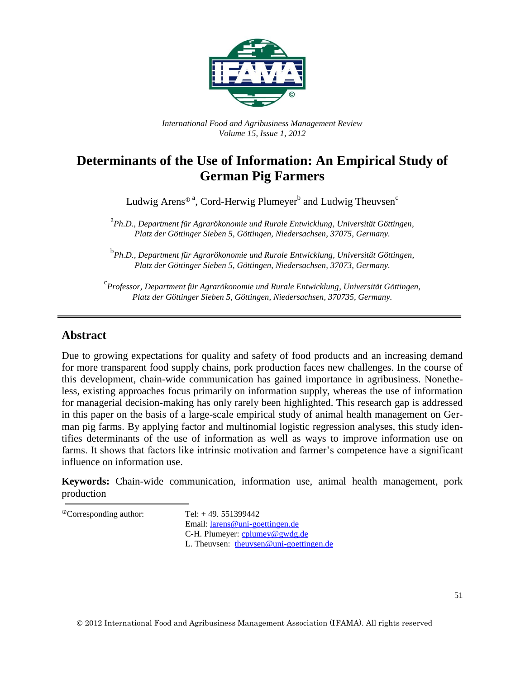

*International Food and Agribusiness Management Review Volume 15, Issue 1, 2012*

# **Determinants of the Use of Information: An Empirical Study of German Pig Farmers**

Ludwig Arens<sup>®</sup><sup>a</sup>, Cord-Herwig Plumeyer<sup>b</sup> and Ludwig Theuvsen<sup>c</sup>

<sup>a</sup><br>Ph.D., Department für Agrarökonomie und Rurale Entwicklung, Universität Göttingen, *Platz der Göttinger Sieben 5, Göttingen, Niedersachsen, 37075, Germany.*

b *Ph.D., Department für Agrarökonomie und Rurale Entwicklung, Universität Göttingen, Platz der Göttinger Sieben 5, Göttingen, Niedersachsen, 37073, Germany.*

c *Professor, Department für Agrarökonomie und Rurale Entwicklung, Universität Göttingen, Platz der Göttinger Sieben 5, Göttingen, Niedersachsen, 370735, Germany.*

#### **Abstract**

Due to growing expectations for quality and safety of food products and an increasing demand for more transparent food supply chains, pork production faces new challenges. In the course of this development, chain-wide communication has gained importance in agribusiness. Nonetheless, existing approaches focus primarily on information supply, whereas the use of information for managerial decision-making has only rarely been highlighted. This research gap is addressed in this paper on the basis of a large-scale empirical study of animal health management on German pig farms. By applying factor and multinomial logistic regression analyses, this study identifies determinants of the use of information as well as ways to improve information use on farms. It shows that factors like intrinsic motivation and farmer's competence have a significant influence on information use.

**Keywords:** Chain-wide communication, information use, animal health management, pork production

 ${}^{\circ}$ Corresponding author: Tel: +49. 551399442 Email: [larens@uni-goettingen.de](mailto:larens@uni-goettingen.de) C-H. Plumeyer: [cplumey@gwdg.de](mailto:cplumey@gwdg.de) L. Theuvsen: [theuvsen@uni-goettingen.de](mailto:theuvsen@uni-goettingen.de)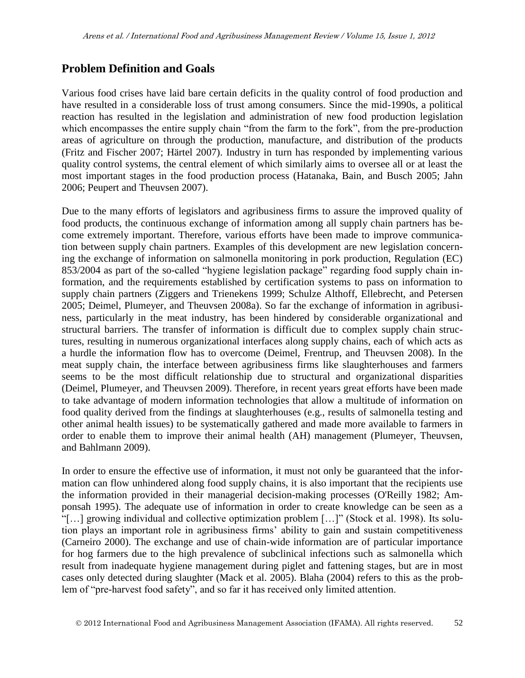# **Problem Definition and Goals**

Various food crises have laid bare certain deficits in the quality control of food production and have resulted in a considerable loss of trust among consumers. Since the mid-1990s, a political reaction has resulted in the legislation and administration of new food production legislation which encompasses the entire supply chain "from the farm to the fork", from the pre-production areas of agriculture on through the production, manufacture, and distribution of the products (Fritz and Fischer 2007; Härtel 2007). Industry in turn has responded by implementing various quality control systems, the central element of which similarly aims to oversee all or at least the most important stages in the food production process (Hatanaka, Bain, and Busch 2005; Jahn 2006; Peupert and Theuvsen 2007).

Due to the many efforts of legislators and agribusiness firms to assure the improved quality of food products, the continuous exchange of information among all supply chain partners has become extremely important. Therefore, various efforts have been made to improve communication between supply chain partners. Examples of this development are new legislation concerning the exchange of information on salmonella monitoring in pork production, Regulation (EC) 853/2004 as part of the so-called "hygiene legislation package" regarding food supply chain information, and the requirements established by certification systems to pass on information to supply chain partners (Ziggers and Trienekens 1999; Schulze Althoff, Ellebrecht, and Petersen 2005; Deimel, Plumeyer, and Theuvsen 2008a). So far the exchange of information in agribusiness, particularly in the meat industry, has been hindered by considerable organizational and structural barriers. The transfer of information is difficult due to complex supply chain structures, resulting in numerous organizational interfaces along supply chains, each of which acts as a hurdle the information flow has to overcome (Deimel, Frentrup, and Theuvsen 2008). In the meat supply chain, the interface between agribusiness firms like slaughterhouses and farmers seems to be the most difficult relationship due to structural and organizational disparities (Deimel, Plumeyer, and Theuvsen 2009). Therefore, in recent years great efforts have been made to take advantage of modern information technologies that allow a multitude of information on food quality derived from the findings at slaughterhouses (e.g., results of salmonella testing and other animal health issues) to be systematically gathered and made more available to farmers in order to enable them to improve their animal health (AH) management (Plumeyer, Theuvsen, and Bahlmann 2009).

In order to ensure the effective use of information, it must not only be guaranteed that the information can flow unhindered along food supply chains, it is also important that the recipients use the information provided in their managerial decision-making processes (O'Reilly 1982; Amponsah 1995). The adequate use of information in order to create knowledge can be seen as a "[…] growing individual and collective optimization problem […]" (Stock et al. 1998). Its solution plays an important role in agribusiness firms' ability to gain and sustain competitiveness (Carneiro 2000). The exchange and use of chain-wide information are of particular importance for hog farmers due to the high prevalence of subclinical infections such as salmonella which result from inadequate hygiene management during piglet and fattening stages, but are in most cases only detected during slaughter (Mack et al. 2005). Blaha (2004) refers to this as the problem of "pre-harvest food safety", and so far it has received only limited attention.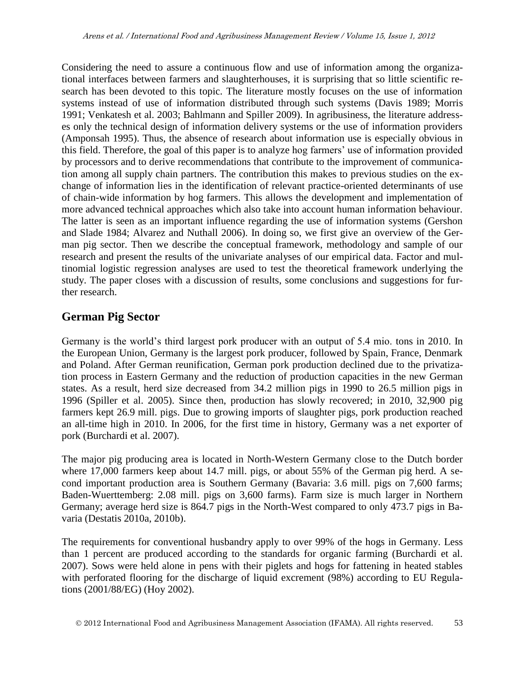Considering the need to assure a continuous flow and use of information among the organizational interfaces between farmers and slaughterhouses, it is surprising that so little scientific research has been devoted to this topic. The literature mostly focuses on the use of information systems instead of use of information distributed through such systems (Davis 1989; Morris 1991; Venkatesh et al. 2003; Bahlmann and Spiller 2009). In agribusiness, the literature addresses only the technical design of information delivery systems or the use of information providers (Amponsah 1995). Thus, the absence of research about information use is especially obvious in this field. Therefore, the goal of this paper is to analyze hog farmers' use of information provided by processors and to derive recommendations that contribute to the improvement of communication among all supply chain partners. The contribution this makes to previous studies on the exchange of information lies in the identification of relevant practice-oriented determinants of use of chain-wide information by hog farmers. This allows the development and implementation of more advanced technical approaches which also take into account human information behaviour. The latter is seen as an important influence regarding the use of information systems (Gershon and Slade 1984; Alvarez and Nuthall 2006). In doing so, we first give an overview of the German pig sector. Then we describe the conceptual framework, methodology and sample of our research and present the results of the univariate analyses of our empirical data. Factor and multinomial logistic regression analyses are used to test the theoretical framework underlying the study. The paper closes with a discussion of results, some conclusions and suggestions for further research.

# **German Pig Sector**

Germany is the world's third largest pork producer with an output of 5.4 mio. tons in 2010. In the European Union, Germany is the largest pork producer, followed by Spain, France, Denmark and Poland. After German reunification, German pork production declined due to the privatization process in Eastern Germany and the reduction of production capacities in the new German states. As a result, herd size decreased from 34.2 million pigs in 1990 to 26.5 million pigs in 1996 (Spiller et al. 2005). Since then, production has slowly recovered; in 2010, 32,900 pig farmers kept 26.9 mill. pigs. Due to growing imports of slaughter pigs, pork production reached an all-time high in 2010. In 2006, for the first time in history, Germany was a net exporter of pork (Burchardi et al. 2007).

The major pig producing area is located in North-Western Germany close to the Dutch border where 17,000 farmers keep about 14.7 mill. pigs, or about 55% of the German pig herd. A second important production area is Southern Germany (Bavaria: 3.6 mill. pigs on 7,600 farms; Baden-Wuerttemberg: 2.08 mill. pigs on 3,600 farms). Farm size is much larger in Northern Germany; average herd size is 864.7 pigs in the North-West compared to only 473.7 pigs in Bavaria (Destatis 2010a, 2010b).

The requirements for conventional husbandry apply to over 99% of the hogs in Germany. Less than 1 percent are produced according to the standards for organic farming (Burchardi et al. 2007). Sows were held alone in pens with their piglets and hogs for fattening in heated stables with perforated flooring for the discharge of liquid excrement (98%) according to EU Regulations (2001/88/EG) (Hoy 2002).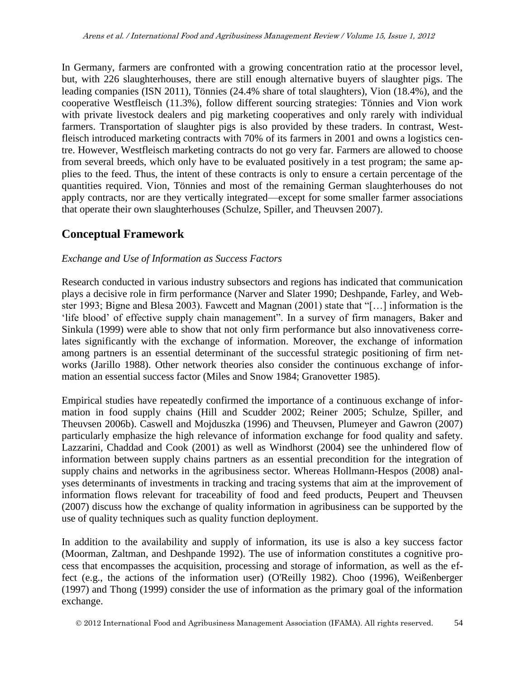In Germany, farmers are confronted with a growing concentration ratio at the processor level, but, with 226 slaughterhouses, there are still enough alternative buyers of slaughter pigs. The leading companies (ISN 2011), Tönnies (24.4% share of total slaughters), Vion (18.4%), and the cooperative Westfleisch (11.3%), follow different sourcing strategies: Tönnies and Vion work with private livestock dealers and pig marketing cooperatives and only rarely with individual farmers. Transportation of slaughter pigs is also provided by these traders. In contrast, Westfleisch introduced marketing contracts with 70% of its farmers in 2001 and owns a logistics centre. However, Westfleisch marketing contracts do not go very far. Farmers are allowed to choose from several breeds, which only have to be evaluated positively in a test program; the same applies to the feed. Thus, the intent of these contracts is only to ensure a certain percentage of the quantities required. Vion, Tönnies and most of the remaining German slaughterhouses do not apply contracts, nor are they vertically integrated—except for some smaller farmer associations that operate their own slaughterhouses (Schulze, Spiller, and Theuvsen 2007).

# **Conceptual Framework**

#### *Exchange and Use of Information as Success Factors*

Research conducted in various industry subsectors and regions has indicated that communication plays a decisive role in firm performance (Narver and Slater 1990; Deshpande, Farley, and Webster 1993; Bigne and Blesa 2003). Fawcett and Magnan (2001) state that "[…] information is the 'life blood' of effective supply chain management". In a survey of firm managers, Baker and Sinkula (1999) were able to show that not only firm performance but also innovativeness correlates significantly with the exchange of information. Moreover, the exchange of information among partners is an essential determinant of the successful strategic positioning of firm networks (Jarillo 1988). Other network theories also consider the continuous exchange of information an essential success factor (Miles and Snow 1984; Granovetter 1985).

Empirical studies have repeatedly confirmed the importance of a continuous exchange of information in food supply chains (Hill and Scudder 2002; Reiner 2005; Schulze, Spiller, and Theuvsen 2006b). Caswell and Mojduszka (1996) and Theuvsen, Plumeyer and Gawron (2007) particularly emphasize the high relevance of information exchange for food quality and safety. Lazzarini, Chaddad and Cook (2001) as well as Windhorst (2004) see the unhindered flow of information between supply chains partners as an essential precondition for the integration of supply chains and networks in the agribusiness sector. Whereas Hollmann-Hespos (2008) analyses determinants of investments in tracking and tracing systems that aim at the improvement of information flows relevant for traceability of food and feed products, Peupert and Theuvsen (2007) discuss how the exchange of quality information in agribusiness can be supported by the use of quality techniques such as quality function deployment.

In addition to the availability and supply of information, its use is also a key success factor (Moorman, Zaltman, and Deshpande 1992). The use of information constitutes a cognitive process that encompasses the acquisition, processing and storage of information, as well as the effect (e.g., the actions of the information user) (O'Reilly 1982). Choo (1996), Weißenberger (1997) and Thong (1999) consider the use of information as the primary goal of the information exchange.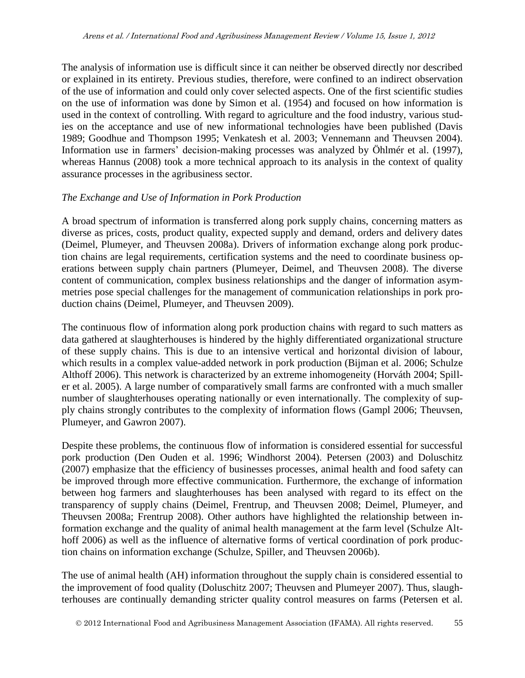The analysis of information use is difficult since it can neither be observed directly nor described or explained in its entirety. Previous studies, therefore, were confined to an indirect observation of the use of information and could only cover selected aspects. One of the first scientific studies on the use of information was done by Simon et al. (1954) and focused on how information is used in the context of controlling. With regard to agriculture and the food industry, various studies on the acceptance and use of new informational technologies have been published (Davis 1989; Goodhue and Thompson 1995; Venkatesh et al. 2003; Vennemann and Theuvsen 2004). Information use in farmers' decision-making processes was analyzed by Öhlmér et al. (1997), whereas Hannus (2008) took a more technical approach to its analysis in the context of quality assurance processes in the agribusiness sector.

#### *The Exchange and Use of Information in Pork Production*

A broad spectrum of information is transferred along pork supply chains, concerning matters as diverse as prices, costs, product quality, expected supply and demand, orders and delivery dates (Deimel, Plumeyer, and Theuvsen 2008a). Drivers of information exchange along pork production chains are legal requirements, certification systems and the need to coordinate business operations between supply chain partners (Plumeyer, Deimel, and Theuvsen 2008). The diverse content of communication, complex business relationships and the danger of information asymmetries pose special challenges for the management of communication relationships in pork production chains (Deimel, Plumeyer, and Theuvsen 2009).

The continuous flow of information along pork production chains with regard to such matters as data gathered at slaughterhouses is hindered by the highly differentiated organizational structure of these supply chains. This is due to an intensive vertical and horizontal division of labour, which results in a complex value-added network in pork production (Bijman et al. 2006; Schulze Althoff 2006). This network is characterized by an extreme inhomogeneity (Horváth 2004; Spiller et al. 2005). A large number of comparatively small farms are confronted with a much smaller number of slaughterhouses operating nationally or even internationally. The complexity of supply chains strongly contributes to the complexity of information flows (Gampl 2006; Theuvsen, Plumeyer, and Gawron 2007).

Despite these problems, the continuous flow of information is considered essential for successful pork production (Den Ouden et al. 1996; Windhorst 2004). Petersen (2003) and Doluschitz (2007) emphasize that the efficiency of businesses processes, animal health and food safety can be improved through more effective communication. Furthermore, the exchange of information between hog farmers and slaughterhouses has been analysed with regard to its effect on the transparency of supply chains (Deimel, Frentrup, and Theuvsen 2008; Deimel, Plumeyer, and Theuvsen 2008a; Frentrup 2008). Other authors have highlighted the relationship between information exchange and the quality of animal health management at the farm level (Schulze Althoff 2006) as well as the influence of alternative forms of vertical coordination of pork production chains on information exchange (Schulze, Spiller, and Theuvsen 2006b).

The use of animal health (AH) information throughout the supply chain is considered essential to the improvement of food quality (Doluschitz 2007; Theuvsen and Plumeyer 2007). Thus, slaughterhouses are continually demanding stricter quality control measures on farms (Petersen et al.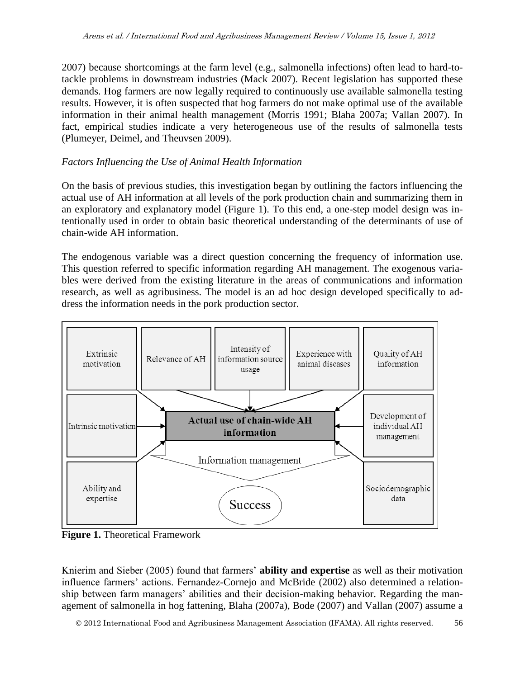2007) because shortcomings at the farm level (e.g., salmonella infections) often lead to hard-totackle problems in downstream industries (Mack 2007). Recent legislation has supported these demands. Hog farmers are now legally required to continuously use available salmonella testing results. However, it is often suspected that hog farmers do not make optimal use of the available information in their animal health management (Morris 1991; Blaha 2007a; Vallan 2007). In fact, empirical studies indicate a very heterogeneous use of the results of salmonella tests (Plumeyer, Deimel, and Theuvsen 2009).

#### *Factors Influencing the Use of Animal Health Information*

On the basis of previous studies, this investigation began by outlining the factors influencing the actual use of AH information at all levels of the pork production chain and summarizing them in an exploratory and explanatory model (Figure 1). To this end, a one-step model design was intentionally used in order to obtain basic theoretical understanding of the determinants of use of chain-wide AH information.

The endogenous variable was a direct question concerning the frequency of information use. This question referred to specific information regarding AH management. The exogenous variables were derived from the existing literature in the areas of communications and information research, as well as agribusiness. The model is an ad hoc design developed specifically to address the information needs in the pork production sector.



**Figure 1.** Theoretical Framework

Knierim and Sieber (2005) found that farmers' **ability and expertise** as well as their motivation influence farmers' actions. Fernandez-Cornejo and McBride (2002) also determined a relationship between farm managers' abilities and their decision-making behavior. Regarding the management of salmonella in hog fattening, Blaha (2007a), Bode (2007) and Vallan (2007) assume a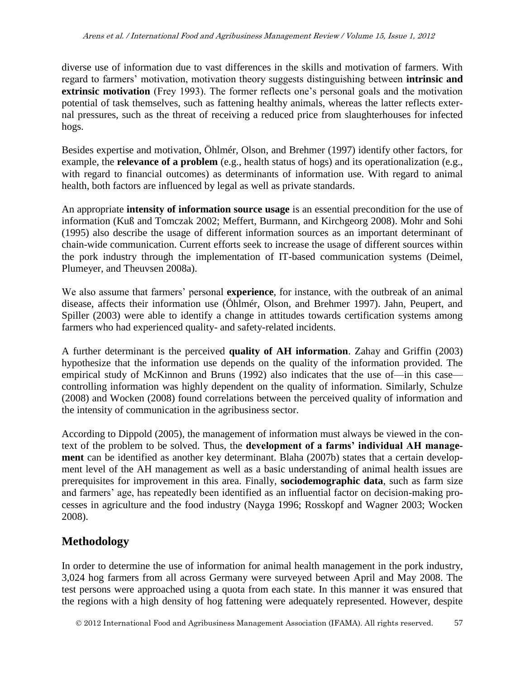diverse use of information due to vast differences in the skills and motivation of farmers. With regard to farmers' motivation, motivation theory suggests distinguishing between **intrinsic and extrinsic motivation** (Frey 1993). The former reflects one's personal goals and the motivation potential of task themselves, such as fattening healthy animals, whereas the latter reflects external pressures, such as the threat of receiving a reduced price from slaughterhouses for infected hogs.

Besides expertise and motivation, Öhlmér, Olson, and Brehmer (1997) identify other factors, for example, the **relevance of a problem** (e.g., health status of hogs) and its operationalization (e.g., with regard to financial outcomes) as determinants of information use. With regard to animal health, both factors are influenced by legal as well as private standards.

An appropriate **intensity of information source usage** is an essential precondition for the use of information (Kuß and Tomczak 2002; Meffert, Burmann, and Kirchgeorg 2008). Mohr and Sohi (1995) also describe the usage of different information sources as an important determinant of chain-wide communication. Current efforts seek to increase the usage of different sources within the pork industry through the implementation of IT-based communication systems (Deimel, Plumeyer, and Theuvsen 2008a).

We also assume that farmers' personal **experience**, for instance, with the outbreak of an animal disease, affects their information use (Öhlmér, Olson, and Brehmer 1997). Jahn, Peupert, and Spiller (2003) were able to identify a change in attitudes towards certification systems among farmers who had experienced quality- and safety-related incidents.

A further determinant is the perceived **quality of AH information**. Zahay and Griffin (2003) hypothesize that the information use depends on the quality of the information provided. The empirical study of McKinnon and Bruns (1992) also indicates that the use of—in this case controlling information was highly dependent on the quality of information. Similarly, Schulze (2008) and Wocken (2008) found correlations between the perceived quality of information and the intensity of communication in the agribusiness sector.

According to Dippold (2005), the management of information must always be viewed in the context of the problem to be solved. Thus, the **development of a farms' individual AH management** can be identified as another key determinant. Blaha (2007b) states that a certain development level of the AH management as well as a basic understanding of animal health issues are prerequisites for improvement in this area. Finally, **sociodemographic data**, such as farm size and farmers' age, has repeatedly been identified as an influential factor on decision-making processes in agriculture and the food industry (Nayga 1996; Rosskopf and Wagner 2003; Wocken 2008).

# **Methodology**

In order to determine the use of information for animal health management in the pork industry, 3,024 hog farmers from all across Germany were surveyed between April and May 2008. The test persons were approached using a quota from each state. In this manner it was ensured that the regions with a high density of hog fattening were adequately represented. However, despite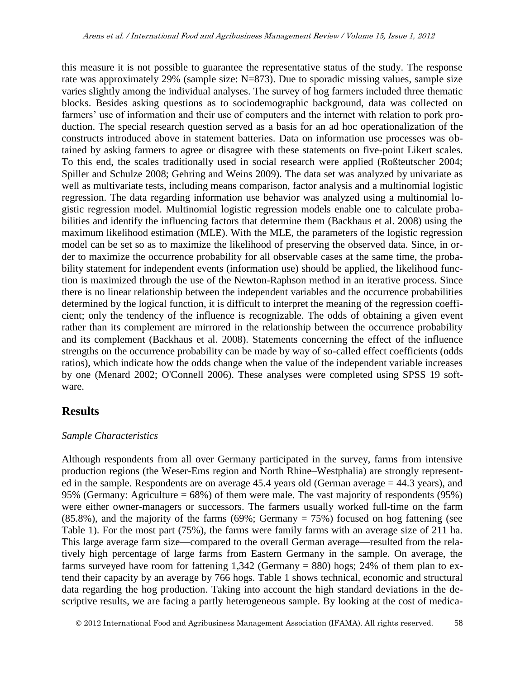this measure it is not possible to guarantee the representative status of the study. The response rate was approximately 29% (sample size: N=873). Due to sporadic missing values, sample size varies slightly among the individual analyses. The survey of hog farmers included three thematic blocks. Besides asking questions as to sociodemographic background, data was collected on farmers' use of information and their use of computers and the internet with relation to pork production. The special research question served as a basis for an ad hoc operationalization of the constructs introduced above in statement batteries. Data on information use processes was obtained by asking farmers to agree or disagree with these statements on five-point Likert scales. To this end, the scales traditionally used in social research were applied (Roßteutscher 2004; Spiller and Schulze 2008; Gehring and Weins 2009). The data set was analyzed by univariate as well as multivariate tests, including means comparison, factor analysis and a multinomial logistic regression. The data regarding information use behavior was analyzed using a multinomial logistic regression model. Multinomial logistic regression models enable one to calculate probabilities and identify the influencing factors that determine them (Backhaus et al. 2008) using the maximum likelihood estimation (MLE). With the MLE, the parameters of the logistic regression model can be set so as to maximize the likelihood of preserving the observed data. Since, in order to maximize the occurrence probability for all observable cases at the same time, the probability statement for independent events (information use) should be applied, the likelihood function is maximized through the use of the Newton-Raphson method in an iterative process. Since there is no linear relationship between the independent variables and the occurrence probabilities determined by the logical function, it is difficult to interpret the meaning of the regression coefficient; only the tendency of the influence is recognizable. The odds of obtaining a given event rather than its complement are mirrored in the relationship between the occurrence probability and its complement (Backhaus et al. 2008). Statements concerning the effect of the influence strengths on the occurrence probability can be made by way of so-called effect coefficients (odds ratios), which indicate how the odds change when the value of the independent variable increases by one (Menard 2002; O'Connell 2006). These analyses were completed using SPSS 19 software.

# **Results**

#### *Sample Characteristics*

Although respondents from all over Germany participated in the survey, farms from intensive production regions (the Weser-Ems region and North Rhine–Westphalia) are strongly represented in the sample. Respondents are on average 45.4 years old (German average = 44.3 years), and 95% (Germany: Agriculture = 68%) of them were male. The vast majority of respondents (95%) were either owner-managers or successors. The farmers usually worked full-time on the farm  $(85.8\%)$ , and the majority of the farms  $(69\%;$  Germany = 75%) focused on hog fattening (see Table 1). For the most part (75%), the farms were family farms with an average size of 211 ha. This large average farm size—compared to the overall German average—resulted from the relatively high percentage of large farms from Eastern Germany in the sample. On average, the farms surveyed have room for fattening 1,342 (Germany = 880) hogs; 24% of them plan to extend their capacity by an average by 766 hogs. Table 1 shows technical, economic and structural data regarding the hog production. Taking into account the high standard deviations in the descriptive results, we are facing a partly heterogeneous sample. By looking at the cost of medica-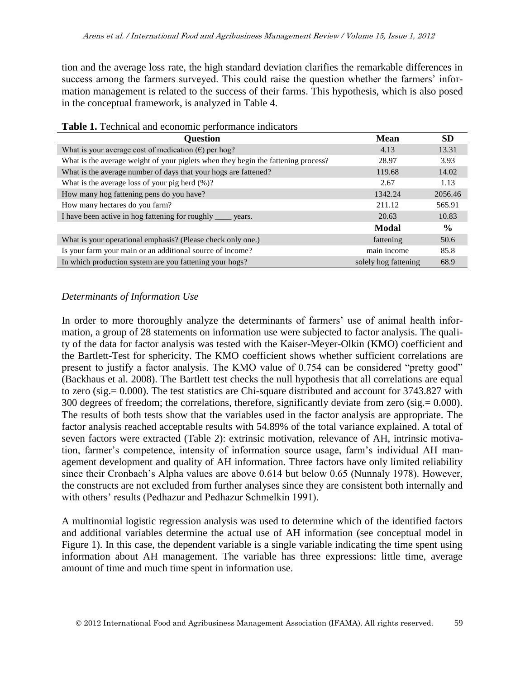tion and the average loss rate, the high standard deviation clarifies the remarkable differences in success among the farmers surveyed. This could raise the question whether the farmers' information management is related to the success of their farms. This hypothesis, which is also posed in the conceptual framework, is analyzed in Table 4.

| Question                                                                          | <b>Mean</b>          | <b>SD</b>     |
|-----------------------------------------------------------------------------------|----------------------|---------------|
| What is your average cost of medication $(\epsilon)$ per hog?                     | 4.13                 | 13.31         |
| What is the average weight of your piglets when they begin the fattening process? | 28.97                | 3.93          |
| What is the average number of days that your hogs are fattened?                   | 119.68               | 14.02         |
| What is the average loss of your pig herd $(\%)$ ?                                | 2.67                 | 1.13          |
| How many hog fattening pens do you have?                                          | 1342.24              | 2056.46       |
| How many hectares do you farm?                                                    | 211.12               | 565.91        |
| I have been active in hog fattening for roughly _____ years.                      | 20.63                | 10.83         |
|                                                                                   | Modal                | $\frac{6}{9}$ |
| What is your operational emphasis? (Please check only one.)                       | fattening            | 50.6          |
| Is your farm your main or an additional source of income?                         | main income          | 85.8          |
| In which production system are you fattening your hogs?                           | solely hog fattening | 68.9          |

#### **Table 1.** Technical and economic performance indicators

#### *Determinants of Information Use*

In order to more thoroughly analyze the determinants of farmers' use of animal health information, a group of 28 statements on information use were subjected to factor analysis. The quality of the data for factor analysis was tested with the Kaiser-Meyer-Olkin (KMO) coefficient and the Bartlett-Test for sphericity. The KMO coefficient shows whether sufficient correlations are present to justify a factor analysis. The KMO value of 0.754 can be considered "pretty good" (Backhaus et al. 2008). The Bartlett test checks the null hypothesis that all correlations are equal to zero (sig.= 0.000). The test statistics are Chi-square distributed and account for 3743.827 with 300 degrees of freedom; the correlations, therefore, significantly deviate from zero (sig.= 0.000). The results of both tests show that the variables used in the factor analysis are appropriate. The factor analysis reached acceptable results with 54.89% of the total variance explained. A total of seven factors were extracted (Table 2): extrinsic motivation, relevance of AH, intrinsic motivation, farmer's competence, intensity of information source usage, farm's individual AH management development and quality of AH information. Three factors have only limited reliability since their Cronbach's Alpha values are above 0.614 but below 0.65 (Nunnaly 1978). However, the constructs are not excluded from further analyses since they are consistent both internally and with others' results (Pedhazur and Pedhazur Schmelkin 1991).

A multinomial logistic regression analysis was used to determine which of the identified factors and additional variables determine the actual use of AH information (see conceptual model in Figure 1). In this case, the dependent variable is a single variable indicating the time spent using information about AH management. The variable has three expressions: little time, average amount of time and much time spent in information use.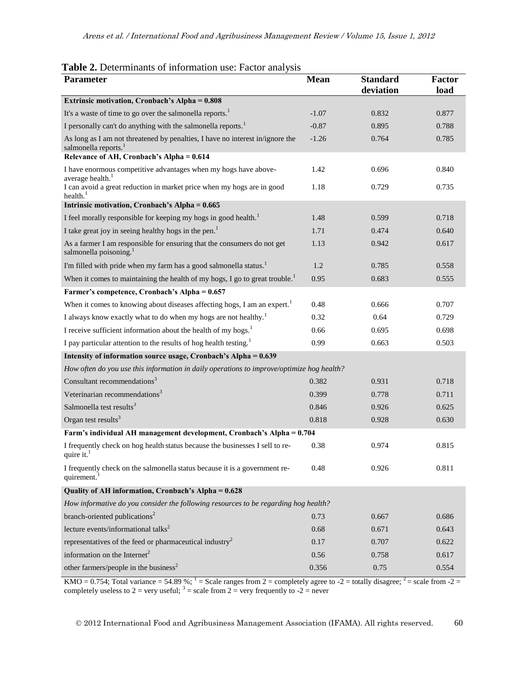| <b>Table 2.</b> Determinants of information use: Factor analysis |  |  |
|------------------------------------------------------------------|--|--|
|                                                                  |  |  |

| <b>Parameter</b>                                                                                                  | <b>Mean</b> | <b>Standard</b><br>deviation | <b>Factor</b><br>load |
|-------------------------------------------------------------------------------------------------------------------|-------------|------------------------------|-----------------------|
| Extrinsic motivation, Cronbach's Alpha = 0.808                                                                    |             |                              |                       |
| It's a waste of time to go over the salmonella reports. <sup>1</sup>                                              | $-1.07$     | 0.832                        | 0.877                 |
| I personally can't do anything with the salmonella reports. <sup>1</sup>                                          | $-0.87$     | 0.895                        | 0.788                 |
| As long as I am not threatened by penalties, I have no interest in/ignore the<br>salmonella reports. <sup>1</sup> | $-1.26$     | 0.764                        | 0.785                 |
| Relevance of AH, Cronbach's Alpha = 0.614                                                                         |             |                              |                       |
| I have enormous competitive advantages when my hogs have above-<br>average health. <sup>1</sup>                   | 1.42        | 0.696                        | 0.840                 |
| I can avoid a great reduction in market price when my hogs are in good<br>health. $1$                             | 1.18        | 0.729                        | 0.735                 |
| Intrinsic motivation, Cronbach's Alpha = 0.665                                                                    |             |                              |                       |
| I feel morally responsible for keeping my hogs in good health. <sup>1</sup>                                       | 1.48        | 0.599                        | 0.718                 |
| I take great joy in seeing healthy hogs in the pen. <sup>1</sup>                                                  | 1.71        | 0.474                        | 0.640                 |
| As a farmer I am responsible for ensuring that the consumers do not get<br>salmonella poisoning. <sup>1</sup>     | 1.13        | 0.942                        | 0.617                 |
| I'm filled with pride when my farm has a good salmonella status. <sup>1</sup>                                     | 1.2         | 0.785                        | 0.558                 |
| When it comes to maintaining the health of my hogs, I go to great trouble. <sup>1</sup>                           | 0.95        | 0.683                        | 0.555                 |
| Farmer's competence, Cronbach's Alpha = 0.657                                                                     |             |                              |                       |
| When it comes to knowing about diseases affecting hogs, I am an expert. <sup>1</sup>                              | 0.48        | 0.666                        | 0.707                 |
| I always know exactly what to do when my hogs are not healthy. <sup>1</sup>                                       | 0.32        | 0.64                         | 0.729                 |
| I receive sufficient information about the health of my hogs. <sup>1</sup>                                        | 0.66        | 0.695                        | 0.698                 |
| I pay particular attention to the results of hog health testing. <sup>1</sup>                                     | 0.99        | 0.663                        | 0.503                 |
| Intensity of information source usage, Cronbach's Alpha = 0.639                                                   |             |                              |                       |
| How often do you use this information in daily operations to improve/optimize hog health?                         |             |                              |                       |
| Consultant recommendations <sup>3</sup>                                                                           | 0.382       | 0.931                        | 0.718                 |
| Veterinarian recommendations <sup>3</sup>                                                                         | 0.399       | 0.778                        | 0.711                 |
| Salmonella test results <sup>3</sup>                                                                              | 0.846       | 0.926                        | 0.625                 |
| Organ test results $3$                                                                                            | 0.818       | 0.928                        | 0.630                 |
| Farm's individual AH management development, Cronbach's Alpha = 0.704                                             |             |                              |                       |
| I frequently check on hog health status because the businesses I sell to re-<br>quire it. $1$                     | 0.38        | 0.974                        | 0.815                 |
| I frequently check on the salmonella status because it is a government re-<br>quirement.                          | 0.48        | 0.926                        | 0.811                 |
| Quality of AH information, Cronbach's Alpha = 0.628                                                               |             |                              |                       |
| How informative do you consider the following resources to be regarding hog health?                               |             |                              |                       |
| branch-oriented publications <sup>2</sup>                                                                         | 0.73        | 0.667                        | 0.686                 |
| lecture events/informational talks <sup>2</sup>                                                                   | 0.68        | 0.671                        | 0.643                 |
| representatives of the feed or pharmaceutical industry <sup>2</sup>                                               | 0.17        | 0.707                        | 0.622                 |
| information on the Internet <sup>2</sup>                                                                          | 0.56        | 0.758                        | 0.617                 |
| other farmers/people in the business <sup>2</sup>                                                                 | 0.356       | 0.75                         | 0.554                 |

KMO = 0.754; Total variance = 54.89 %;  $1 =$  Scale ranges from 2 = completely agree to -2 = totally disagree;  $2 =$  scale from -2 = completely useless to 2 = very useful;  $3 =$  scale from 2 = very frequently to -2 = never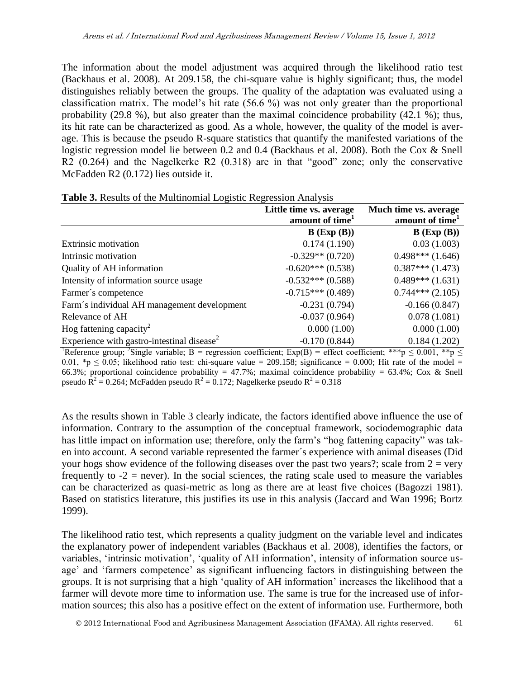The information about the model adjustment was acquired through the likelihood ratio test (Backhaus et al. 2008). At 209.158, the chi-square value is highly significant; thus, the model distinguishes reliably between the groups. The quality of the adaptation was evaluated using a classification matrix. The model's hit rate (56.6 %) was not only greater than the proportional probability (29.8 %), but also greater than the maximal coincidence probability (42.1 %); thus, its hit rate can be characterized as good. As a whole, however, the quality of the model is average. This is because the pseudo R-square statistics that quantify the manifested variations of the logistic regression model lie between 0.2 and 0.4 (Backhaus et al. 2008). Both the Cox & Snell R2 (0.264) and the Nagelkerke R2 (0.318) are in that "good" zone; only the conservative McFadden R2 (0.172) lies outside it.

| <b>Lable 5.</b> Nesults of the Multinomial Logistic Regression Analysis |                                       |                               |  |
|-------------------------------------------------------------------------|---------------------------------------|-------------------------------|--|
|                                                                         | Little time vs. average               | Much time vs. average         |  |
|                                                                         | amount of time <sup>1</sup>           | amount of time <sup>1</sup>   |  |
|                                                                         | $B$ (Exp $(B)$ )                      | $B$ (Exp $(B)$ )              |  |
| <b>Extrinsic motivation</b>                                             | 0.174(1.190)                          | 0.03(1.003)                   |  |
| Intrinsic motivation                                                    | $-0.329**$ (0.720)                    | $0.498***(1.646)$             |  |
| Quality of AH information                                               | $-0.620***(0.538)$                    | $0.387***(1.473)$             |  |
| Intensity of information source usage                                   | $-0.532***(0.588)$                    | $0.489***(1.631)$             |  |
| Farmer's competence                                                     | $-0.715***(0.489)$                    | $0.744***(2.105)$             |  |
| Farm's individual AH management development                             | $-0.231(0.794)$                       | $-0.166(0.847)$               |  |
| Relevance of AH                                                         | $-0.037(0.964)$                       | 0.078(1.081)                  |  |
| Hog fattening capacity <sup>2</sup>                                     | 0.000(1.00)                           | 0.000(1.00)                   |  |
| Experience with gastro-intestinal disease <sup>2</sup>                  | $-0.170(0.844)$                       | 0.184(1.202)                  |  |
| $\overline{b}$<br>$2\alpha$ $\alpha$<br>$\cdots$                        | $\sim$ $\sim$<br>$\sqrt{D}$<br>$\sim$ | الملور ملورمان<br>است محمد می |  |

**Table 3.** Results of the Multinomial Logistic Regression Analysis

<sup>1</sup>Reference group; <sup>2</sup>Single variable; B = regression coefficient; Exp(B) = effect coefficient; \*\*\*p  $\leq$  0.001, \*\*p  $\leq$ 0.01, \*p  $\leq$  0.05; likelihood ratio test: chi-square value = 209.158; significance = 0.000; Hit rate of the model = 66.3%; proportional coincidence probability = 47.7%; maximal coincidence probability = 63.4%; Cox & Snell pseudo  $\overline{R}^2 = 0.264$ ; McFadden pseudo  $R^2 = 0.172$ ; Nagelkerke pseudo  $R^2 = 0.318$ 

As the results shown in Table 3 clearly indicate, the factors identified above influence the use of information. Contrary to the assumption of the conceptual framework, sociodemographic data has little impact on information use; therefore, only the farm's "hog fattening capacity" was taken into account. A second variable represented the farmer´s experience with animal diseases (Did your hogs show evidence of the following diseases over the past two years?; scale from  $2 = \text{very}$ frequently to  $-2$  = never). In the social sciences, the rating scale used to measure the variables can be characterized as quasi-metric as long as there are at least five choices (Bagozzi 1981). Based on statistics literature, this justifies its use in this analysis (Jaccard and Wan 1996; Bortz 1999).

The likelihood ratio test, which represents a quality judgment on the variable level and indicates the explanatory power of independent variables (Backhaus et al. 2008), identifies the factors, or variables, 'intrinsic motivation', 'quality of AH information', intensity of information source usage' and 'farmers competence' as significant influencing factors in distinguishing between the groups. It is not surprising that a high 'quality of AH information' increases the likelihood that a farmer will devote more time to information use. The same is true for the increased use of information sources; this also has a positive effect on the extent of information use. Furthermore, both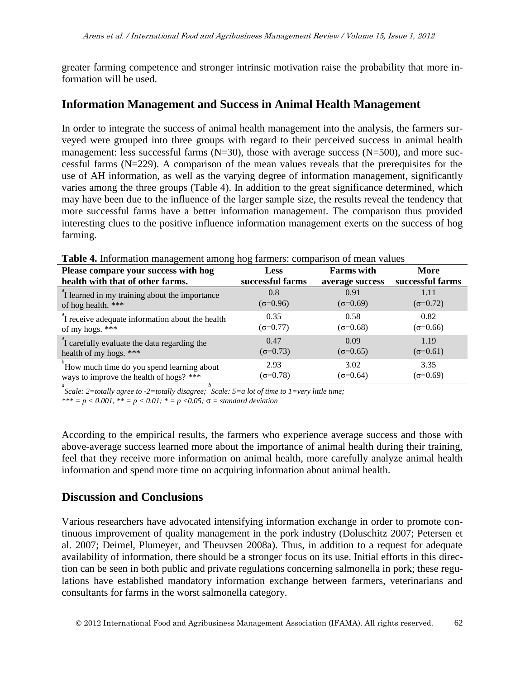greater farming competence and stronger intrinsic motivation raise the probability that more information will be used.

# **Information Management and Success in Animal Health Management**

In order to integrate the success of animal health management into the analysis, the farmers surveyed were grouped into three groups with regard to their perceived success in animal health management: less successful farms  $(N=30)$ , those with average success  $(N=500)$ , and more successful farms  $(N=229)$ . A comparison of the mean values reveals that the prerequisites for the use of AH information, as well as the varying degree of information management, significantly varies among the three groups (Table 4). In addition to the great significance determined, which may have been due to the influence of the larger sample size, the results reveal the tendency that more successful farms have a better information management. The comparison thus provided interesting clues to the positive influence information management exerts on the success of hog farming.

| Please compare your success with hog            | <b>Less</b>         | <b>Farms</b> with | More              |
|-------------------------------------------------|---------------------|-------------------|-------------------|
| health with that of other farms.                | successful farms    | average success   | successful farms  |
| I learned in my training about the importance   | 0.8                 | 0.91              | 1.11              |
| of hog health. ***                              | $(\sigma = 0.96)$   | $(\sigma=0.69)$   | $(\sigma = 0.72)$ |
| I receive adequate information about the health | 0.35                | 0.58              | 0.82              |
| of my hogs. ***                                 | $(\sigma = 0.77)$   | $(\sigma = 0.68)$ | $(\sigma = 0.66)$ |
| I carefully evaluate the data regarding the     | 0.47                | 0.09              | 1.19              |
| health of my hogs. ***                          | $(\sigma = 0.73)$   | $(\sigma = 0.65)$ | $(\sigma = 0.61)$ |
| How much time do you spend learning about       | 2.93                | 3.02              | 3.35              |
| ways to improve the health of hogs? ***         | ( $\sigma = 0.78$ ) | ( $\sigma$ =0.64) | $(\sigma = 0.69)$ |

**Table 4.** Information management among hog farmers: comparison of mean values

*a Scale: 2=totally agree to -2=totally disagree; b Scale: 5=a lot of time to 1=very little time;*

 $*** = p < 0.001$ ,  $** = p < 0.01$ ;  $* = p < 0.05$ ;  $\sigma =$  *standard deviation* 

According to the empirical results, the farmers who experience average success and those with above-average success learned more about the importance of animal health during their training, feel that they receive more information on animal health, more carefully analyze animal health information and spend more time on acquiring information about animal health.

# **Discussion and Conclusions**

Various researchers have advocated intensifying information exchange in order to promote continuous improvement of quality management in the pork industry (Doluschitz 2007; Petersen et al. 2007; Deimel, Plumeyer, and Theuvsen 2008a). Thus, in addition to a request for adequate availability of information, there should be a stronger focus on its use. Initial efforts in this direction can be seen in both public and private regulations concerning salmonella in pork; these regulations have established mandatory information exchange between farmers, veterinarians and consultants for farms in the worst salmonella category.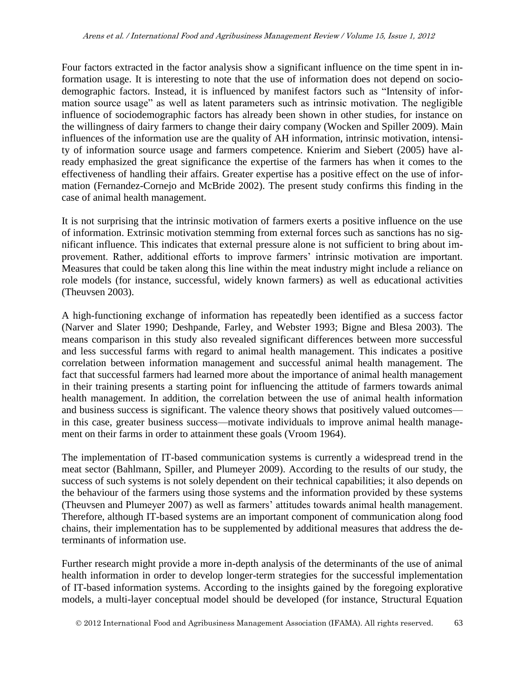Four factors extracted in the factor analysis show a significant influence on the time spent in information usage. It is interesting to note that the use of information does not depend on sociodemographic factors. Instead, it is influenced by manifest factors such as "Intensity of information source usage" as well as latent parameters such as intrinsic motivation. The negligible influence of sociodemographic factors has already been shown in other studies, for instance on the willingness of dairy farmers to change their dairy company (Wocken and Spiller 2009). Main influences of the information use are the quality of AH information, intrinsic motivation, intensity of information source usage and farmers competence. Knierim and Siebert (2005) have already emphasized the great significance the expertise of the farmers has when it comes to the effectiveness of handling their affairs. Greater expertise has a positive effect on the use of information (Fernandez-Cornejo and McBride 2002). The present study confirms this finding in the case of animal health management.

It is not surprising that the intrinsic motivation of farmers exerts a positive influence on the use of information. Extrinsic motivation stemming from external forces such as sanctions has no significant influence. This indicates that external pressure alone is not sufficient to bring about improvement. Rather, additional efforts to improve farmers' intrinsic motivation are important. Measures that could be taken along this line within the meat industry might include a reliance on role models (for instance, successful, widely known farmers) as well as educational activities (Theuvsen 2003).

A high-functioning exchange of information has repeatedly been identified as a success factor (Narver and Slater 1990; Deshpande, Farley, and Webster 1993; Bigne and Blesa 2003). The means comparison in this study also revealed significant differences between more successful and less successful farms with regard to animal health management. This indicates a positive correlation between information management and successful animal health management. The fact that successful farmers had learned more about the importance of animal health management in their training presents a starting point for influencing the attitude of farmers towards animal health management. In addition, the correlation between the use of animal health information and business success is significant. The valence theory shows that positively valued outcomes in this case, greater business success—motivate individuals to improve animal health management on their farms in order to attainment these goals (Vroom 1964).

The implementation of IT-based communication systems is currently a widespread trend in the meat sector (Bahlmann, Spiller, and Plumeyer 2009). According to the results of our study, the success of such systems is not solely dependent on their technical capabilities; it also depends on the behaviour of the farmers using those systems and the information provided by these systems (Theuvsen and Plumeyer 2007) as well as farmers' attitudes towards animal health management. Therefore, although IT-based systems are an important component of communication along food chains, their implementation has to be supplemented by additional measures that address the determinants of information use.

Further research might provide a more in-depth analysis of the determinants of the use of animal health information in order to develop longer-term strategies for the successful implementation of IT-based information systems. According to the insights gained by the foregoing explorative models, a multi-layer conceptual model should be developed (for instance, Structural Equation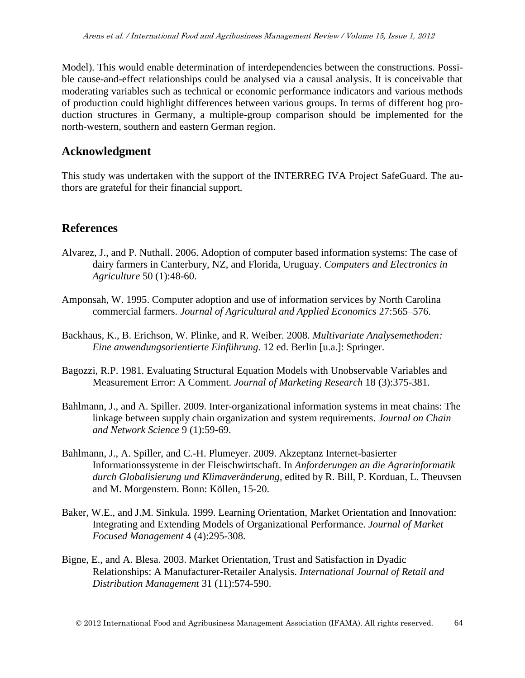Model). This would enable determination of interdependencies between the constructions. Possible cause-and-effect relationships could be analysed via a causal analysis. It is conceivable that moderating variables such as technical or economic performance indicators and various methods of production could highlight differences between various groups. In terms of different hog production structures in Germany, a multiple-group comparison should be implemented for the north-western, southern and eastern German region.

## **Acknowledgment**

This study was undertaken with the support of the INTERREG IVA Project SafeGuard. The authors are grateful for their financial support.

## **References**

- Alvarez, J., and P. Nuthall. 2006. Adoption of computer based information systems: The case of dairy farmers in Canterbury, NZ, and Florida, Uruguay. *Computers and Electronics in Agriculture* 50 (1):48-60.
- Amponsah, W. 1995. Computer adoption and use of information services by North Carolina commercial farmers. *Journal of Agricultural and Applied Economics* 27:565–576.
- Backhaus, K., B. Erichson, W. Plinke, and R. Weiber. 2008. *Multivariate Analysemethoden: Eine anwendungsorientierte Einführung*. 12 ed. Berlin [u.a.]: Springer.
- Bagozzi, R.P. 1981. Evaluating Structural Equation Models with Unobservable Variables and Measurement Error: A Comment. *Journal of Marketing Research* 18 (3):375-381.
- Bahlmann, J., and A. Spiller. 2009. Inter-organizational information systems in meat chains: The linkage between supply chain organization and system requirements. *Journal on Chain and Network Science* 9 (1):59-69.
- Bahlmann, J., A. Spiller, and C.-H. Plumeyer. 2009. Akzeptanz Internet-basierter Informationssysteme in der Fleischwirtschaft. In *Anforderungen an die Agrarinformatik durch Globalisierung und Klimaveränderung*, edited by R. Bill, P. Korduan, L. Theuvsen and M. Morgenstern. Bonn: Köllen, 15-20.
- Baker, W.E., and J.M. Sinkula. 1999. Learning Orientation, Market Orientation and Innovation: Integrating and Extending Models of Organizational Performance. *Journal of Market Focused Management* 4 (4):295-308.
- Bigne, E., and A. Blesa. 2003. Market Orientation, Trust and Satisfaction in Dyadic Relationships: A Manufacturer-Retailer Analysis. *International Journal of Retail and Distribution Management* 31 (11):574-590.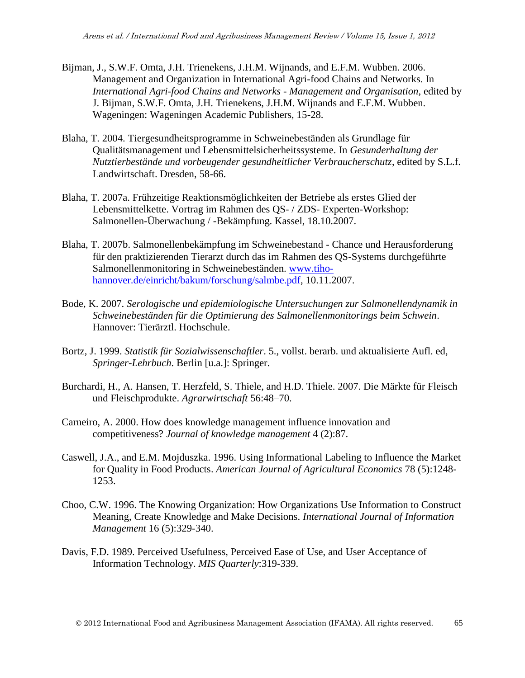- Bijman, J., S.W.F. Omta, J.H. Trienekens, J.H.M. Wijnands, and E.F.M. Wubben. 2006. Management and Organization in International Agri-food Chains and Networks. In *International Agri-food Chains and Networks - Management and Organisation*, edited by J. Bijman, S.W.F. Omta, J.H. Trienekens, J.H.M. Wijnands and E.F.M. Wubben. Wageningen: Wageningen Academic Publishers, 15-28.
- Blaha, T. 2004. Tiergesundheitsprogramme in Schweinebeständen als Grundlage für Qualitätsmanagement und Lebensmittelsicherheitssysteme. In *Gesunderhaltung der Nutztierbestände und vorbeugender gesundheitlicher Verbraucherschutz*, edited by S.L.f. Landwirtschaft. Dresden, 58-66.
- Blaha, T. 2007a. Frühzeitige Reaktionsmöglichkeiten der Betriebe als erstes Glied der Lebensmittelkette. Vortrag im Rahmen des QS- / ZDS- Experten-Workshop: Salmonellen-Überwachung / -Bekämpfung. Kassel, 18.10.2007.
- Blaha, T. 2007b. Salmonellenbekämpfung im Schweinebestand Chance und Herausforderung für den praktizierenden Tierarzt durch das im Rahmen des QS-Systems durchgeführte Salmonellenmonitoring in Schweinebeständen. [www.tiho](http://www.tiho-hannover.de/einricht/bakum/forschung/salmbe.pdf)[hannover.de/einricht/bakum/forschung/salmbe.pdf,](http://www.tiho-hannover.de/einricht/bakum/forschung/salmbe.pdf) 10.11.2007.
- Bode, K. 2007. *Serologische und epidemiologische Untersuchungen zur Salmonellendynamik in Schweinebeständen für die Optimierung des Salmonellenmonitorings beim Schwein*. Hannover: Tierärztl. Hochschule.
- Bortz, J. 1999. *Statistik für Sozialwissenschaftler*. 5., vollst. berarb. und aktualisierte Aufl. ed, *Springer-Lehrbuch*. Berlin [u.a.]: Springer.
- Burchardi, H., A. Hansen, T. Herzfeld, S. Thiele, and H.D. Thiele. 2007. Die Märkte für Fleisch und Fleischprodukte. *Agrarwirtschaft* 56:48–70.
- Carneiro, A. 2000. How does knowledge management influence innovation and competitiveness? *Journal of knowledge management* 4 (2):87.
- Caswell, J.A., and E.M. Mojduszka. 1996. Using Informational Labeling to Influence the Market for Quality in Food Products. *American Journal of Agricultural Economics* 78 (5):1248- 1253.
- Choo, C.W. 1996. The Knowing Organization: How Organizations Use Information to Construct Meaning, Create Knowledge and Make Decisions. *International Journal of Information Management* 16 (5):329-340.
- Davis, F.D. 1989. Perceived Usefulness, Perceived Ease of Use, and User Acceptance of Information Technology. *MIS Quarterly*:319-339.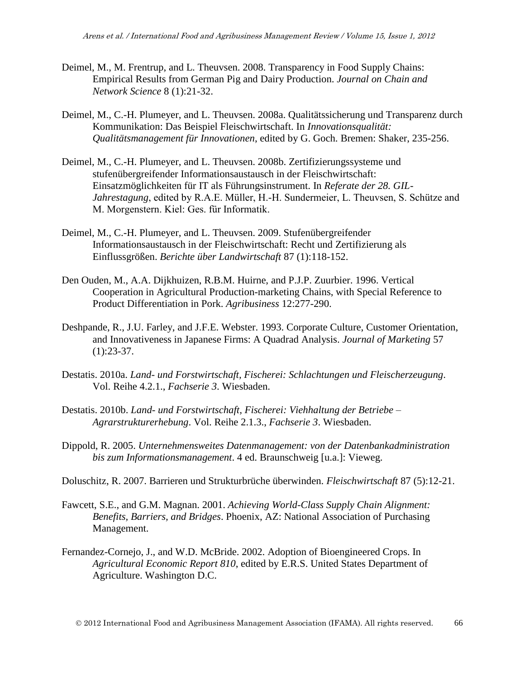- Deimel, M., M. Frentrup, and L. Theuvsen. 2008. Transparency in Food Supply Chains: Empirical Results from German Pig and Dairy Production. *Journal on Chain and Network Science* 8 (1):21-32.
- Deimel, M., C.-H. Plumeyer, and L. Theuvsen. 2008a. Qualitätssicherung und Transparenz durch Kommunikation: Das Beispiel Fleischwirtschaft. In *Innovationsqualität: Qualitätsmanagement für Innovationen*, edited by G. Goch. Bremen: Shaker, 235-256.
- Deimel, M., C.-H. Plumeyer, and L. Theuvsen. 2008b. Zertifizierungssysteme und stufenübergreifender Informationsaustausch in der Fleischwirtschaft: Einsatzmöglichkeiten für IT als Führungsinstrument. In *Referate der 28. GIL-Jahrestagung*, edited by R.A.E. Müller, H.-H. Sundermeier, L. Theuvsen, S. Schütze and M. Morgenstern. Kiel: Ges. für Informatik.
- Deimel, M., C.-H. Plumeyer, and L. Theuvsen. 2009. Stufenübergreifender Informationsaustausch in der Fleischwirtschaft: Recht und Zertifizierung als Einflussgrößen. *Berichte über Landwirtschaft* 87 (1):118-152.
- Den Ouden, M., A.A. Dijkhuizen, R.B.M. Huirne, and P.J.P. Zuurbier. 1996. Vertical Cooperation in Agricultural Production-marketing Chains, with Special Reference to Product Differentiation in Pork. *Agribusiness* 12:277-290.
- Deshpande, R., J.U. Farley, and J.F.E. Webster. 1993. Corporate Culture, Customer Orientation, and Innovativeness in Japanese Firms: A Quadrad Analysis. *Journal of Marketing* 57  $(1):23-37.$
- Destatis. 2010a. *Land- und Forstwirtschaft, Fischerei: Schlachtungen und Fleischerzeugung*. Vol. Reihe 4.2.1., *Fachserie 3*. Wiesbaden.
- Destatis. 2010b. *Land- und Forstwirtschaft, Fischerei: Viehhaltung der Betriebe – Agrarstrukturerhebung*. Vol. Reihe 2.1.3., *Fachserie 3*. Wiesbaden.
- Dippold, R. 2005. *Unternehmensweites Datenmanagement: von der Datenbankadministration bis zum Informationsmanagement*. 4 ed. Braunschweig [u.a.]: Vieweg.
- Doluschitz, R. 2007. Barrieren und Strukturbrüche überwinden. *Fleischwirtschaft* 87 (5):12-21.
- Fawcett, S.E., and G.M. Magnan. 2001. *Achieving World-Class Supply Chain Alignment: Benefits, Barriers, and Bridges*. Phoenix, AZ: National Association of Purchasing Management.
- Fernandez-Cornejo, J., and W.D. McBride. 2002. Adoption of Bioengineered Crops. In *Agricultural Economic Report 810*, edited by E.R.S. United States Department of Agriculture. Washington D.C.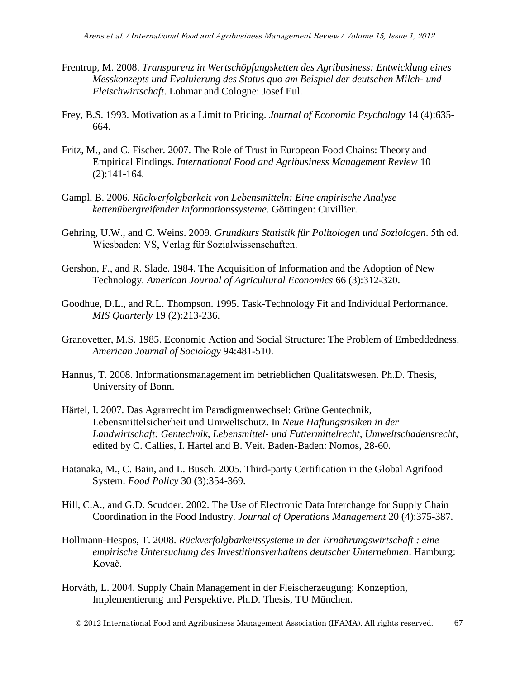- Frentrup, M. 2008. *Transparenz in Wertschöpfungsketten des Agribusiness: Entwicklung eines Messkonzepts und Evaluierung des Status quo am Beispiel der deutschen Milch- und Fleischwirtschaft*. Lohmar and Cologne: Josef Eul.
- Frey, B.S. 1993. Motivation as a Limit to Pricing. *Journal of Economic Psychology* 14 (4):635- 664.
- Fritz, M., and C. Fischer. 2007. The Role of Trust in European Food Chains: Theory and Empirical Findings. *International Food and Agribusiness Management Review* 10 (2):141-164.
- Gampl, B. 2006. *Rückverfolgbarkeit von Lebensmitteln: Eine empirische Analyse kettenübergreifender Informationssysteme*. Göttingen: Cuvillier.
- Gehring, U.W., and C. Weins. 2009. *Grundkurs Statistik für Politologen und Soziologen*. 5th ed. Wiesbaden: VS, Verlag für Sozialwissenschaften.
- Gershon, F., and R. Slade. 1984. The Acquisition of Information and the Adoption of New Technology. *American Journal of Agricultural Economics* 66 (3):312-320.
- Goodhue, D.L., and R.L. Thompson. 1995. Task-Technology Fit and Individual Performance. *MIS Quarterly* 19 (2):213-236.
- Granovetter, M.S. 1985. Economic Action and Social Structure: The Problem of Embeddedness. *American Journal of Sociology* 94:481-510.
- Hannus, T. 2008. Informationsmanagement im betrieblichen Qualitätswesen. Ph.D. Thesis, University of Bonn.
- Härtel, I. 2007. Das Agrarrecht im Paradigmenwechsel: Grüne Gentechnik, Lebensmittelsicherheit und Umweltschutz. In *Neue Haftungsrisiken in der Landwirtschaft: Gentechnik, Lebensmittel- und Futtermittelrecht, Umweltschadensrecht*, edited by C. Callies, I. Härtel and B. Veit. Baden-Baden: Nomos, 28-60.
- Hatanaka, M., C. Bain, and L. Busch. 2005. Third-party Certification in the Global Agrifood System. *Food Policy* 30 (3):354-369.
- Hill, C.A., and G.D. Scudder. 2002. The Use of Electronic Data Interchange for Supply Chain Coordination in the Food Industry. *Journal of Operations Management* 20 (4):375-387.
- Hollmann-Hespos, T. 2008. *Rückverfolgbarkeitssysteme in der Ernährungswirtschaft : eine empirische Untersuchung des Investitionsverhaltens deutscher Unternehmen*. Hamburg: Kovač.
- Horváth, L. 2004. Supply Chain Management in der Fleischerzeugung: Konzeption, Implementierung und Perspektive. Ph.D. Thesis, TU München.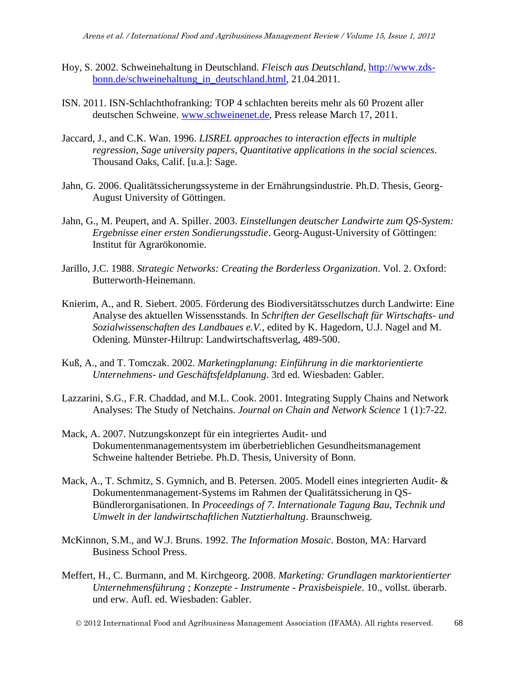- Hoy, S. 2002. Schweinehaltung in Deutschland. *Fleisch aus Deutschland*, [http://www.zds](http://www.zds-bonn.de/schweinehaltung_in_deutschland.html)[bonn.de/schweinehaltung\\_in\\_deutschland.html,](http://www.zds-bonn.de/schweinehaltung_in_deutschland.html) 21.04.2011.
- ISN. 2011. ISN-Schlachthofranking: TOP 4 schlachten bereits mehr als 60 Prozent aller deutschen Schweine. [www.schweinenet.de,](http://www.schweinenet.de/) Press release March 17, 2011.
- Jaccard, J., and C.K. Wan. 1996. *LISREL approaches to interaction effects in multiple regression*, *Sage university papers, Quantitative applications in the social sciences*. Thousand Oaks, Calif. [u.a.]: Sage.
- Jahn, G. 2006. Qualitätssicherungssysteme in der Ernährungsindustrie. Ph.D. Thesis, Georg-August University of Göttingen.
- Jahn, G., M. Peupert, and A. Spiller. 2003. *Einstellungen deutscher Landwirte zum QS-System: Ergebnisse einer ersten Sondierungsstudie*. Georg-August-University of Göttingen: Institut für Agrarökonomie.
- Jarillo, J.C. 1988. *Strategic Networks: Creating the Borderless Organization*. Vol. 2. Oxford: Butterworth-Heinemann.
- Knierim, A., and R. Siebert. 2005. Förderung des Biodiversitätsschutzes durch Landwirte: Eine Analyse des aktuellen Wissensstands. In *Schriften der Gesellschaft für Wirtschafts- und Sozialwissenschaften des Landbaues e.V.*, edited by K. Hagedorn, U.J. Nagel and M. Odening. Münster-Hiltrup: Landwirtschaftsverlag, 489-500.
- Kuß, A., and T. Tomczak. 2002. *Marketingplanung: Einführung in die marktorientierte Unternehmens- und Geschäftsfeldplanung*. 3rd ed. Wiesbaden: Gabler.
- Lazzarini, S.G., F.R. Chaddad, and M.L. Cook. 2001. Integrating Supply Chains and Network Analyses: The Study of Netchains. *Journal on Chain and Network Science* 1 (1):7-22.
- Mack, A. 2007. Nutzungskonzept für ein integriertes Audit- und Dokumentenmanagementsystem im überbetrieblichen Gesundheitsmanagement Schweine haltender Betriebe. Ph.D. Thesis, University of Bonn.
- Mack, A., T. Schmitz, S. Gymnich, and B. Petersen. 2005. Modell eines integrierten Audit- & Dokumentenmanagement-Systems im Rahmen der Qualitätssicherung in QS-Bündlerorganisationen. In *Proceedings of 7. Internationale Tagung Bau, Technik und Umwelt in der landwirtschaftlichen Nutztierhaltung*. Braunschweig.
- McKinnon, S.M., and W.J. Bruns. 1992. *The Information Mosaic*. Boston, MA: Harvard Business School Press.
- Meffert, H., C. Burmann, and M. Kirchgeorg. 2008. *Marketing: Grundlagen marktorientierter Unternehmensführung ; Konzepte - Instrumente - Praxisbeispiele*. 10., vollst. überarb. und erw. Aufl. ed. Wiesbaden: Gabler.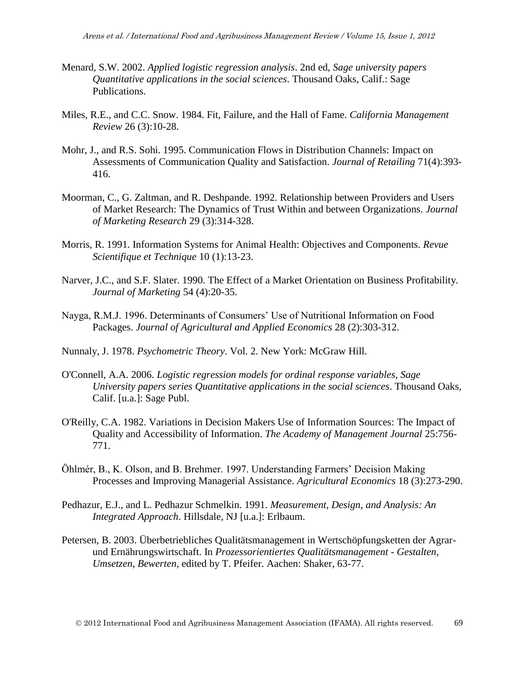- Menard, S.W. 2002. *Applied logistic regression analysis*. 2nd ed, *Sage university papers Quantitative applications in the social sciences*. Thousand Oaks, Calif.: Sage Publications.
- Miles, R.E., and C.C. Snow. 1984. Fit, Failure, and the Hall of Fame. *California Management Review* 26 (3):10-28.
- Mohr, J., and R.S. Sohi. 1995. Communication Flows in Distribution Channels: Impact on Assessments of Communication Quality and Satisfaction. *Journal of Retailing* 71(4):393- 416.
- Moorman, C., G. Zaltman, and R. Deshpande. 1992. Relationship between Providers and Users of Market Research: The Dynamics of Trust Within and between Organizations. *Journal of Marketing Research* 29 (3):314-328.
- Morris, R. 1991. Information Systems for Animal Health: Objectives and Components. *Revue Scientifique et Technique* 10 (1):13-23.
- Narver, J.C., and S.F. Slater. 1990. The Effect of a Market Orientation on Business Profitability. *Journal of Marketing* 54 (4):20-35.
- Nayga, R.M.J. 1996. Determinants of Consumers' Use of Nutritional Information on Food Packages. *Journal of Agricultural and Applied Economics* 28 (2):303-312.
- Nunnaly, J. 1978. *Psychometric Theory*. Vol. 2. New York: McGraw Hill.
- O'Connell, A.A. 2006. *Logistic regression models for ordinal response variables*, *Sage University papers series Quantitative applications in the social sciences*. Thousand Oaks, Calif. [u.a.]: Sage Publ.
- O'Reilly, C.A. 1982. Variations in Decision Makers Use of Information Sources: The Impact of Quality and Accessibility of Information. *The Academy of Management Journal* 25:756- 771.
- Öhlmér, B., K. Olson, and B. Brehmer. 1997. Understanding Farmers' Decision Making Processes and Improving Managerial Assistance. *Agricultural Economics* 18 (3):273-290.
- Pedhazur, E.J., and L. Pedhazur Schmelkin. 1991. *Measurement, Design, and Analysis: An Integrated Approach*. Hillsdale, NJ [u.a.]: Erlbaum.
- Petersen, B. 2003. Überbetriebliches Qualitätsmanagement in Wertschöpfungsketten der Agrarund Ernährungswirtschaft. In *Prozessorientiertes Qualitätsmanagement - Gestalten, Umsetzen, Bewerten*, edited by T. Pfeifer. Aachen: Shaker, 63-77.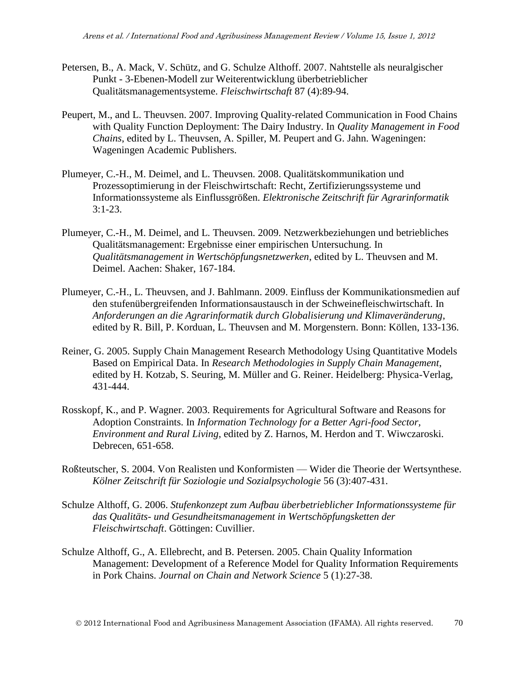- Petersen, B., A. Mack, V. Schütz, and G. Schulze Althoff. 2007. Nahtstelle als neuralgischer Punkt - 3-Ebenen-Modell zur Weiterentwicklung überbetrieblicher Qualitätsmanagementsysteme. *Fleischwirtschaft* 87 (4):89-94.
- Peupert, M., and L. Theuvsen. 2007. Improving Quality-related Communication in Food Chains with Quality Function Deployment: The Dairy Industry. In *Quality Management in Food Chains*, edited by L. Theuvsen, A. Spiller, M. Peupert and G. Jahn. Wageningen: Wageningen Academic Publishers.
- Plumeyer, C.-H., M. Deimel, and L. Theuvsen. 2008. Qualitätskommunikation und Prozessoptimierung in der Fleischwirtschaft: Recht, Zertifizierungssysteme und Informationssysteme als Einflussgrößen. *Elektronische Zeitschrift für Agrarinformatik*  $3:1-23.$
- Plumeyer, C.-H., M. Deimel, and L. Theuvsen. 2009. Netzwerkbeziehungen und betriebliches Qualitätsmanagement: Ergebnisse einer empirischen Untersuchung. In *Qualitätsmanagement in Wertschöpfungsnetzwerken*, edited by L. Theuvsen and M. Deimel. Aachen: Shaker, 167-184.
- Plumeyer, C.-H., L. Theuvsen, and J. Bahlmann. 2009. Einfluss der Kommunikationsmedien auf den stufenübergreifenden Informationsaustausch in der Schweinefleischwirtschaft. In *Anforderungen an die Agrarinformatik durch Globalisierung und Klimaveränderung*, edited by R. Bill, P. Korduan, L. Theuvsen and M. Morgenstern. Bonn: Köllen, 133-136.
- Reiner, G. 2005. Supply Chain Management Research Methodology Using Quantitative Models Based on Empirical Data. In *Research Methodologies in Supply Chain Management*, edited by H. Kotzab, S. Seuring, M. Müller and G. Reiner. Heidelberg: Physica-Verlag, 431-444.
- Rosskopf, K., and P. Wagner. 2003. Requirements for Agricultural Software and Reasons for Adoption Constraints. In *Information Technology for a Better Agri-food Sector, Environment and Rural Living*, edited by Z. Harnos, M. Herdon and T. Wiwczaroski. Debrecen, 651-658.
- Roßteutscher, S. 2004. Von Realisten und Konformisten Wider die Theorie der Wertsynthese. *Kölner Zeitschrift für Soziologie und Sozialpsychologie* 56 (3):407-431.
- Schulze Althoff, G. 2006. *Stufenkonzept zum Aufbau überbetrieblicher Informationssysteme für das Qualitäts- und Gesundheitsmanagement in Wertschöpfungsketten der Fleischwirtschaft*. Göttingen: Cuvillier.
- Schulze Althoff, G., A. Ellebrecht, and B. Petersen. 2005. Chain Quality Information Management: Development of a Reference Model for Quality Information Requirements in Pork Chains. *Journal on Chain and Network Science* 5 (1):27-38.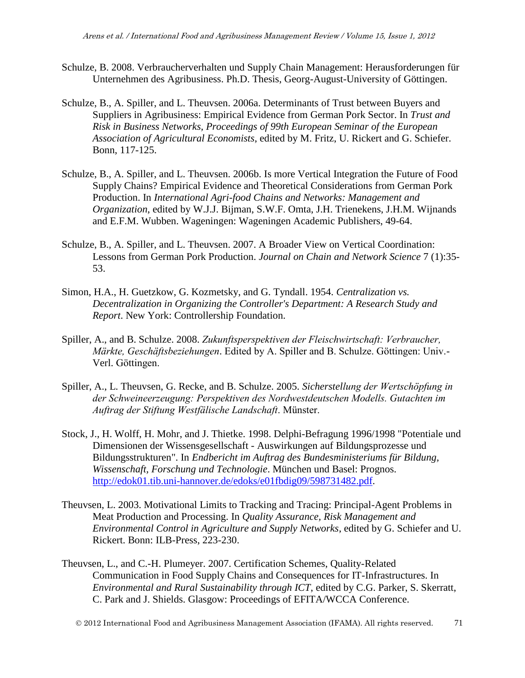- Schulze, B. 2008. Verbraucherverhalten und Supply Chain Management: Herausforderungen für Unternehmen des Agribusiness. Ph.D. Thesis, Georg-August-University of Göttingen.
- Schulze, B., A. Spiller, and L. Theuvsen. 2006a. Determinants of Trust between Buyers and Suppliers in Agribusiness: Empirical Evidence from German Pork Sector. In *Trust and Risk in Business Networks, Proceedings of 99th European Seminar of the European Association of Agricultural Economists*, edited by M. Fritz, U. Rickert and G. Schiefer. Bonn, 117-125.
- Schulze, B., A. Spiller, and L. Theuvsen. 2006b. Is more Vertical Integration the Future of Food Supply Chains? Empirical Evidence and Theoretical Considerations from German Pork Production. In *International Agri-food Chains and Networks: Management and Organization*, edited by W.J.J. Bijman, S.W.F. Omta, J.H. Trienekens, J.H.M. Wijnands and E.F.M. Wubben. Wageningen: Wageningen Academic Publishers, 49-64.
- Schulze, B., A. Spiller, and L. Theuvsen. 2007. A Broader View on Vertical Coordination: Lessons from German Pork Production. *Journal on Chain and Network Science* 7 (1):35- 53.
- Simon, H.A., H. Guetzkow, G. Kozmetsky, and G. Tyndall. 1954. *Centralization vs. Decentralization in Organizing the Controller's Department: A Research Study and Report*. New York: Controllership Foundation.
- Spiller, A., and B. Schulze. 2008. Zukunftsperspektiven der Fleischwirtschaft: Verbraucher, *Märkte, Geschäftsbeziehungen.* Edited by A. Spiller and B. Schulze. Göttingen: Univ.-Verl. Göttingen.
- Spiller, A., L. Theuvsen, G. Recke, and B. Schulze. 2005. *Sicherstellung der Wertschöpfung in* der Schweineerzeugung: Perspektiven des Nordwestdeutschen Modells. Gutachten im Auftrag der Stiftung Westfälische Landschaft. Münster.
- Stock, J., H. Wolff, H. Mohr, and J. Thietke. 1998. Delphi-Befragung 1996/1998 "Potentiale und Dimensionen der Wissensgesellschaft - Auswirkungen auf Bildungsprozesse und Bildungsstrukturen". In *Endbericht im Auftrag des Bundesministeriums für Bildung, Wissenschaft, Forschung und Technologie*. München und Basel: Prognos. [http://edok01.tib.uni-hannover.de/edoks/e01fbdig09/598731482.pdf.](http://edok01.tib.uni-hannover.de/edoks/e01fbdig09/598731482.pdf)
- Theuvsen, L. 2003. Motivational Limits to Tracking and Tracing: Principal-Agent Problems in Meat Production and Processing. In *Quality Assurance, Risk Management and Environmental Control in Agriculture and Supply Networks*, edited by G. Schiefer and U. Rickert. Bonn: ILB-Press, 223-230.
- Theuvsen, L., and C.-H. Plumeyer. 2007. Certification Schemes, Quality-Related Communication in Food Supply Chains and Consequences for IT-Infrastructures. In *Environmental and Rural Sustainability through ICT*, edited by C.G. Parker, S. Skerratt, C. Park and J. Shields. Glasgow: Proceedings of EFITA/WCCA Conference.